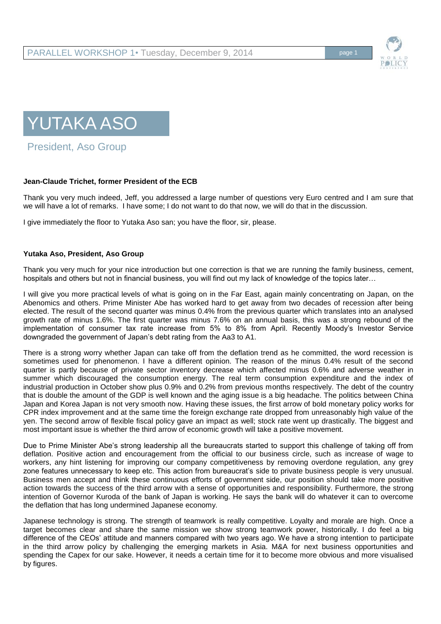



President, Aso Group

## **Jean-Claude Trichet, former President of the ECB**

Thank you very much indeed, Jeff, you addressed a large number of questions very Euro centred and I am sure that we will have a lot of remarks. I have some; I do not want to do that now, we will do that in the discussion.

I give immediately the floor to Yutaka Aso san; you have the floor, sir, please.

## **Yutaka Aso, President, Aso Group**

Thank you very much for your nice introduction but one correction is that we are running the family business, cement, hospitals and others but not in financial business, you will find out my lack of knowledge of the topics later…

I will give you more practical levels of what is going on in the Far East, again mainly concentrating on Japan, on the Abenomics and others. Prime Minister Abe has worked hard to get away from two decades of recession after being elected. The result of the second quarter was minus 0.4% from the previous quarter which translates into an analysed growth rate of minus 1.6%. The first quarter was minus 7.6% on an annual basis, this was a strong rebound of the implementation of consumer tax rate increase from 5% to 8% from April. Recently Moody's Investor Service downgraded the government of Japan's debt rating from the Aa3 to A1.

There is a strong worry whether Japan can take off from the deflation trend as he committed, the word recession is sometimes used for phenomenon. I have a different opinion. The reason of the minus 0.4% result of the second quarter is partly because of private sector inventory decrease which affected minus 0.6% and adverse weather in summer which discouraged the consumption energy. The real term consumption expenditure and the index of industrial production in October show plus 0.9% and 0.2% from previous months respectively. The debt of the country that is double the amount of the GDP is well known and the aging issue is a big headache. The politics between China Japan and Korea Japan is not very smooth now. Having these issues, the first arrow of bold monetary policy works for CPR index improvement and at the same time the foreign exchange rate dropped from unreasonably high value of the yen. The second arrow of flexible fiscal policy gave an impact as well; stock rate went up drastically. The biggest and most important issue is whether the third arrow of economic growth will take a positive movement.

Due to Prime Minister Abe's strong leadership all the bureaucrats started to support this challenge of taking off from deflation. Positive action and encouragement from the official to our business circle, such as increase of wage to workers, any hint listening for improving our company competitiveness by removing overdone regulation, any grey zone features unnecessary to keep etc. This action from bureaucrat's side to private business people is very unusual. Business men accept and think these continuous efforts of government side, our position should take more positive action towards the success of the third arrow with a sense of opportunities and responsibility. Furthermore, the strong intention of Governor Kuroda of the bank of Japan is working. He says the bank will do whatever it can to overcome the deflation that has long undermined Japanese economy.

Japanese technology is strong. The strength of teamwork is really competitive. Loyalty and morale are high. Once a target becomes clear and share the same mission we show strong teamwork power, historically. I do feel a big difference of the CEOs' attitude and manners compared with two years ago. We have a strong intention to participate in the third arrow policy by challenging the emerging markets in Asia. M&A for next business opportunities and spending the Capex for our sake. However, it needs a certain time for it to become more obvious and more visualised by figures.